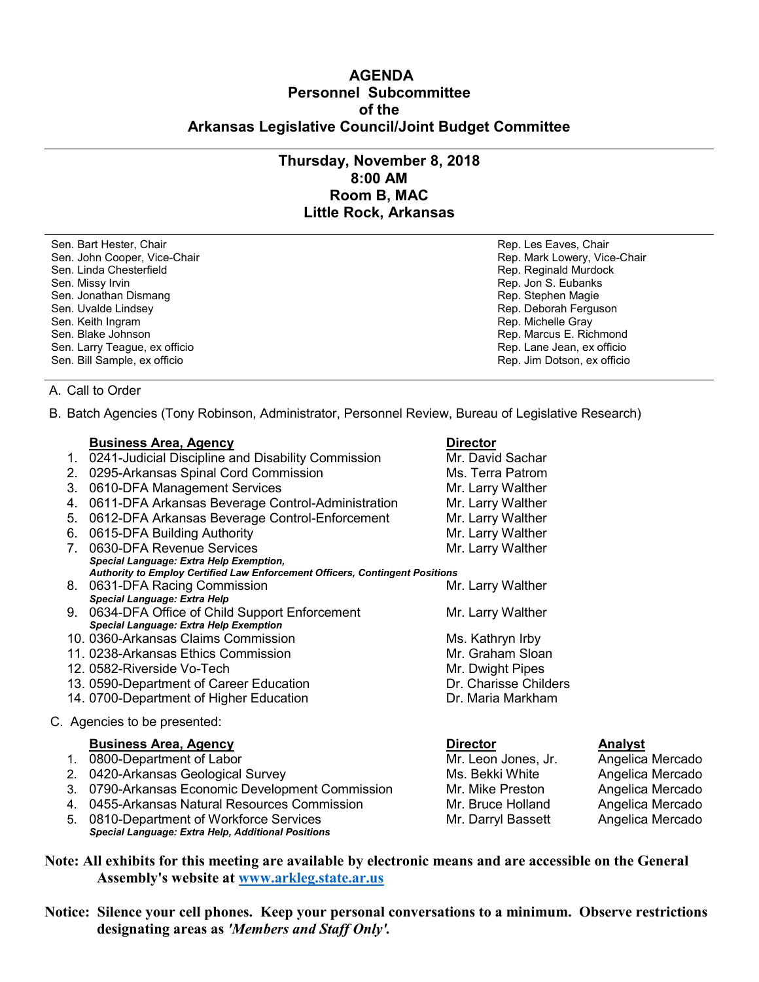# **AGENDA Personnel Subcommittee of the Arkansas Legislative Council/Joint Budget Committee**

# **Thursday, November 8, 2018 8:00 AM Room B, MAC Little Rock, Arkansas**

Sen. Bart Hester, Chair **Rep. Les Eaves, Chair** Rep. Les Eaves, Chair Rep. Les Eaves, Chair Sen. John Cooper, Vice-Chair North Coopers, Vice-Chair Rep. Mark Lowery, Vice-Chair Rep. Mark Lowery, Vice-Chair Sen. Linda Chesterfield **Rep. Reginald Murdock** Rep. Reginald Murdock Sen. Missy Irvin **Rep. 1998** Sen. Missy Irvin **Rep. 3. Eubanks** Sen. Jonathan Dismang Rep. Stephen Magie Rep. Stephen Magie Sen. Uvalde Lindsey **Rep. Deborah Ferguson** Rep. Deborah Ferguson Sen. Keith Ingram Rep. Michelle Gray Sen. Blake Johnson (1999) Sen. Blake Johnson (1999) Sen. Larry Teague, ex officio (1999) Sen. Larry Teague, ex officio Sen. Larry Teague, ex officio

Sen. Bill Sample, ex officio Rep. Jim Dotson, ex officio

## A. Call to Order

B. Batch Agencies (Tony Robinson, Administrator, Personnel Review, Bureau of Legislative Research)

## **Business Area, Agency Contracts Area and Area Agency** Director

- 1. 0241-Judicial Discipline and Disability Commission Mr. David Sachar
- 2. 0295-Arkansas Spinal Cord Commission Ms. Terra Patrom
- 3. 0610-DFA Management Services Mr. Larry Walther
- 4. 0611-DFA Arkansas Beverage Control-Administration Mr. Larry Walther
- 5. 0612-DFA Arkansas Beverage Control-Enforcement Mr. Larry Walther
- 6. 0615-DFA Building Authority Mr. Larry Walther
- 7. 0630-DFA Revenue Services Mr. Larry Walther *Special Language: Extra Help Exemption, Authority to Employ Certified Law Enforcement Officers, Contingent Positions*
- 8. 0631-DFA Racing Commission **Mr. Larry Walther** *Special Language: Extra Help*
- 9. 0634-DFA Office of Child Support Enforcement Mr. Larry Walther *Special Language: Extra Help Exemption*
- 10. 0360-Arkansas Claims Commission Ms. Kathryn Irby
- 11. 0238-Arkansas Ethics Commission Nulled Commission Mr. Graham Sloan
- 12. 0582-Riverside Vo-Tech Mr. Dwight Pipes
- 13. 0590-Department of Career Education **Dr. Charisse Childers**
- 14. 0700-Department of Higher Education **Dr. Maria Markham**
- C. Agencies to be presented:

### **Business Area, Agency Director Analyst**

- 1. 0800-Department of Labor Mr. Leon Jones, Jr. Angelica Mercado
- 2. 0420-Arkansas Geological Survey North Communist Construction Ms. Bekki White Angelica Mercado
- 3. 0790-Arkansas Economic Development Commission Mr. Mike Preston Angelica Mercado
- 4. 0455-Arkansas Natural Resources Commission Mr. Bruce Holland Angelica Mercado
- 5. 0810-Department of Workforce Services Mr. Darryl Bassett Angelica Mercado *Special Language: Extra Help, Additional Positions*

**Note: All exhibits for this meeting are available by electronic means and are accessible on the General Assembly's website at [www.arkleg.state.ar.us](http://www.arkleg.state.ar.us)**

**Notice: Silence your cell phones. Keep your personal conversations to a minimum. Observe restrictions designating areas as** *'Members and Staff Only'.*